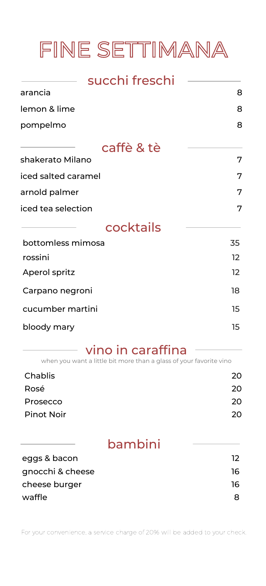# FINE SETTIMANA

| succhi freschi      |    |
|---------------------|----|
| arancia             | 8  |
| lemon & lime        | 8  |
| pompelmo            | 8  |
| caffè & tè          |    |
| shakerato Milano    | 7  |
| iced salted caramel | 7  |
| arnold palmer       | 7  |
| iced tea selection  | 7  |
| cocktails           |    |
| bottomless mimosa   | 35 |
| rossini             | 12 |
| Aperol spritz       | 12 |
| Carpano negroni     | 18 |
| cucumber martini    | 15 |
| bloody mary         | 15 |

### vino in caraffina -

when you want a little bit more than a glass of your favorite vino

| Chablis           | 20  |
|-------------------|-----|
| Rosé              | 20. |
| Prosecco          | 20  |
| <b>Pinot Noir</b> | 20  |

| 12 |
|----|
| 16 |
| 16 |
|    |
|    |

For your convenience, a service charge of 20% will be added to your check.